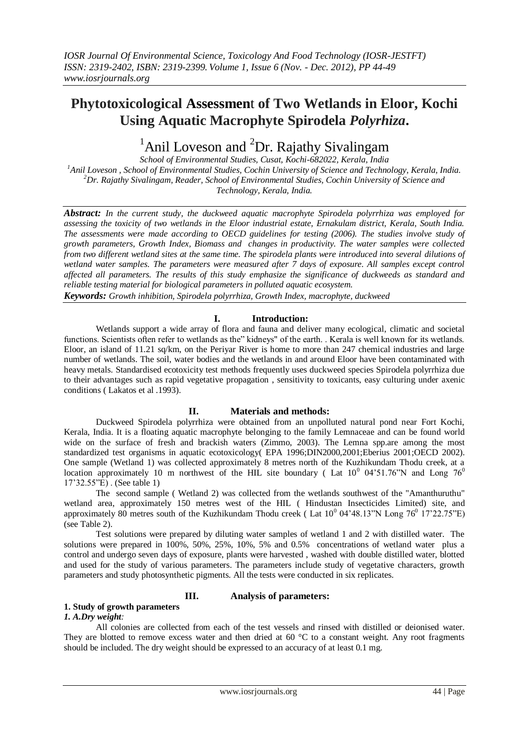## **Phytotoxicological Assessmen**t **of Two Wetlands in Eloor, Kochi Using Aquatic Macrophyte Spirodela** *Polyrhiza***.**

# <sup>1</sup>Anil Loveson and <sup>2</sup>Dr. Rajathy Sivalingam

*School of Environmental Studies, Cusat, Kochi-682022, Kerala, India <sup>1</sup>Anil Loveson , School of Environmental Studies, Cochin University of Science and Technology, Kerala, India. <sup>2</sup>Dr. Rajathy Sivalingam, Reader, School of Environmental Studies, Cochin University of Science and Technology, Kerala, India.* 

*Abstract: In the current study, the duckweed aquatic macrophyte Spirodela polyrrhiza was employed for assessing the toxicity of two wetlands in the Eloor industrial estate, Ernakulam district, Kerala, South India. The assessments were made according to OECD guidelines for testing (2006). The studies involve study of growth parameters, Growth Index, Biomass and changes in productivity. The water samples were collected from two different wetland sites at the same time. The spirodela plants were introduced into several dilutions of wetland water samples. The parameters were measured after 7 days of exposure. All samples except control affected all parameters. The results of this study emphasize the significance of duckweeds as standard and reliable testing material for biological parameters in polluted aquatic ecosystem.* 

*Keywords: Growth inhibition, Spirodela polyrrhiza, Growth Index, macrophyte, duckweed*

## **I. Introduction:**

Wetlands support a wide array of flora and fauna and deliver many ecological, climatic and societal functions. Scientists often refer to wetlands as the" kidneys" of the earth. . Kerala is well known for its wetlands. Eloor, an island of 11.21 sq/km, on the Periyar River is home to more than 247 chemical industries and large number of wetlands. The soil, water bodies and the wetlands in and around Eloor have been contaminated with heavy metals. Standardised ecotoxicity test methods frequently uses duckweed species Spirodela polyrrhiza due to their advantages such as rapid vegetative propagation , sensitivity to toxicants, easy culturing under axenic conditions ( Lakatos et al .1993).

## **II. Materials and methods:**

Duckweed Spirodela polyrrhiza were obtained from an unpolluted natural pond near Fort Kochi, Kerala, India. It is a floating aquatic macrophyte belonging to the family Lemnaceae and can be found world wide on the surface of fresh and brackish waters (Zimmo, 2003). The Lemna spp.are among the most standardized test organisms in aquatic ecotoxicology( EPA 1996;DIN2000,2001;Eberius 2001;OECD 2002). One sample (Wetland 1) was collected approximately 8 metres north of the Kuzhikundam Thodu creek, at a location approximately 10 m northwest of the HIL site boundary (Lat  $10^0$  04'51.76"N and Long 76<sup>0</sup> 17'32.55"E) . (See table 1)

The second sample ( Wetland 2) was collected from the wetlands southwest of the "Amanthuruthu" wetland area, approximately 150 metres west of the HIL ( Hindustan Insecticides Limited) site, and approximately 80 metres south of the Kuzhikundam Thodu creek (Lat  $10^0$  04'48.13"N Long  $76^0$  17'22.75"E) (see Table 2).

Test solutions were prepared by diluting water samples of wetland 1 and 2 with distilled water. The solutions were prepared in 100%, 50%, 25%, 10%, 5% and 0.5% concentrations of wetland water plus a control and undergo seven days of exposure, plants were harvested , washed with double distilled water, blotted and used for the study of various parameters. The parameters include study of vegetative characters, growth parameters and study photosynthetic pigments. All the tests were conducted in six replicates.

## **III. Analysis of parameters:**

## **1. Study of growth parameters**

#### *1. A.Dry weight:*

All colonies are collected from each of the test vessels and rinsed with distilled or deionised water. They are blotted to remove excess water and then dried at 60  $^{\circ}$ C to a constant weight. Any root fragments should be included. The dry weight should be expressed to an accuracy of at least 0.1 mg.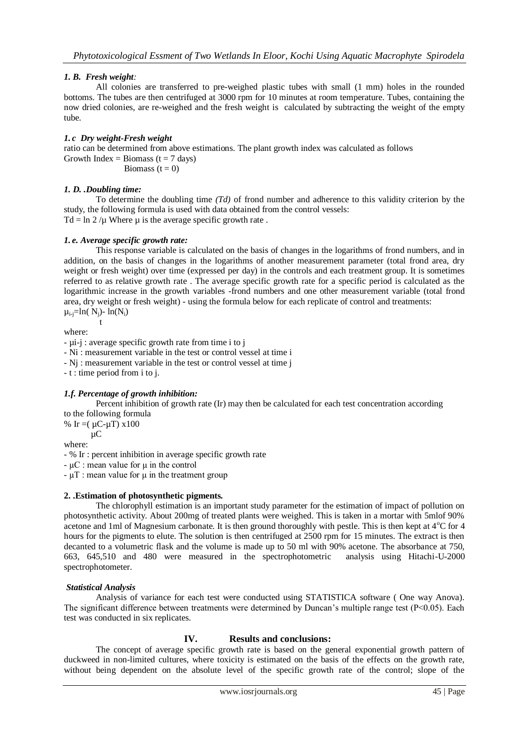## *1. B. Fresh weight:*

All colonies are transferred to pre-weighed plastic tubes with small (1 mm) holes in the rounded bottoms. The tubes are then centrifuged at 3000 rpm for 10 minutes at room temperature. Tubes, containing the now dried colonies, are re-weighed and the fresh weight is calculated by subtracting the weight of the empty tube.

### *1. c Dry weight-Fresh weight*

ratio can be determined from above estimations. The plant growth index was calculated as follows Growth Index = Biomass ( $t = 7$  days) Biomass  $(t = 0)$ 

## *1. D. .Doubling time:*

To determine the doubling time *(Td)* of frond number and adherence to this validity criterion by the study, the following formula is used with data obtained from the control vessels: Td = ln 2 / $\mu$  Where  $\mu$  is the average specific growth rate.

#### *1. e. Average specific growth rate:*

This response variable is calculated on the basis of changes in the logarithms of frond numbers, and in addition, on the basis of changes in the logarithms of another measurement parameter (total frond area, dry weight or fresh weight) over time (expressed per day) in the controls and each treatment group. It is sometimes referred to as relative growth rate . The average specific growth rate for a specific period is calculated as the logarithmic increase in the growth variables -frond numbers and one other measurement variable (total frond area, dry weight or fresh weight) - using the formula below for each replicate of control and treatments:  $\mu_{i-j}$ =ln( N<sub>i</sub>)- ln(N<sub>i</sub>)

$$
t
$$
 where:

- µi-j : average specific growth rate from time i to j

- Ni : measurement variable in the test or control vessel at time i

- Nj : measurement variable in the test or control vessel at time j

- t : time period from i to j.

#### *1.f. Percentage of growth inhibition:*

Percent inhibition of growth rate (Ir) may then be calculated for each test concentration according

to the following formula

% Ir =  $(\mu C - \mu T)$  x 100 µC

where:

- % Ir : percent inhibition in average specific growth rate

- µC : mean value for μ in the control

- µT : mean value for μ in the treatment group

#### **2. .Estimation of photosynthetic pigments.**

The chlorophyll estimation is an important study parameter for the estimation of impact of pollution on photosynthetic activity. About 200mg of treated plants were weighed. This is taken in a mortar with 5mlof 90% acetone and 1ml of Magnesium carbonate. It is then ground thoroughly with pestle. This is then kept at  $4^{\circ}$ C for 4 hours for the pigments to elute. The solution is then centrifuged at 2500 rpm for 15 minutes. The extract is then decanted to a volumetric flask and the volume is made up to 50 ml with 90% acetone. The absorbance at 750, 663, 645,510 and 480 were measured in the spectrophotometric analysis using Hitachi-U-2000 spectrophotometer.

#### *Statistical Analysis*

Analysis of variance for each test were conducted using STATISTICA software ( One way Anova). The significant difference between treatments were determined by Duncan's multiple range test ( $P<0.05$ ). Each test was conducted in six replicates.

## **IV. Results and conclusions:**

The concept of average specific growth rate is based on the general exponential growth pattern of duckweed in non-limited cultures, where toxicity is estimated on the basis of the effects on the growth rate, without being dependent on the absolute level of the specific growth rate of the control; slope of the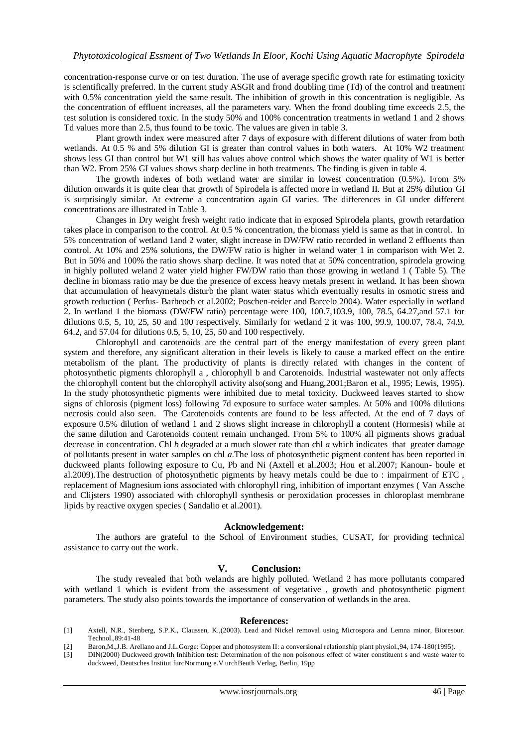concentration-response curve or on test duration. The use of average specific growth rate for estimating toxicity is scientifically preferred. In the current study ASGR and frond doubling time (Td) of the control and treatment with 0.5% concentration yield the same result. The inhibition of growth in this concentration is negligible. As the concentration of effluent increases, all the parameters vary. When the frond doubling time exceeds 2.5, the test solution is considered toxic. In the study 50% and 100% concentration treatments in wetland 1 and 2 shows Td values more than 2.5, thus found to be toxic. The values are given in table 3.

Plant growth index were measured after 7 days of exposure with different dilutions of water from both wetlands. At 0.5 % and 5% dilution GI is greater than control values in both waters. At 10% W2 treatment shows less GI than control but W1 still has values above control which shows the water quality of W1 is better than W2. From 25% GI values shows sharp decline in both treatments. The finding is given in table 4.

The growth indexes of both wetland water are similar in lowest concentration (0.5%). From 5% dilution onwards it is quite clear that growth of Spirodela is affected more in wetland II. But at 25% dilution GI is surprisingly similar. At extreme a concentration again GI varies. The differences in GI under different concentrations are illustrated in Table 3.

Changes in Dry weight fresh weight ratio indicate that in exposed Spirodela plants, growth retardation takes place in comparison to the control. At 0.5 % concentration, the biomass yield is same as that in control. In 5% concentration of wetland 1and 2 water, slight increase in DW/FW ratio recorded in wetland 2 effluents than control. At 10% and 25% solutions, the DW/FW ratio is higher in weland water 1 in comparison with Wet 2. But in 50% and 100% the ratio shows sharp decline. It was noted that at 50% concentration, spirodela growing in highly polluted weland 2 water yield higher FW/DW ratio than those growing in wetland 1 ( Table 5). The decline in biomass ratio may be due the presence of excess heavy metals present in wetland. It has been shown that accumulation of heavymetals disturb the plant water status which eventually results in osmotic stress and growth reduction ( Perfus- Barbeoch et al.2002; Poschen-reider and Barcelo 2004). Water especially in wetland 2. In wetland 1 the biomass (DW/FW ratio) percentage were 100, 100.7,103.9, 100, 78.5, 64.27,and 57.1 for dilutions 0.5, 5, 10, 25, 50 and 100 respectively. Similarly for wetland 2 it was 100, 99.9, 100.07, 78.4, 74.9, 64.2, and 57.04 for dilutions 0.5, 5, 10, 25, 50 and 100 respectively.

Chlorophyll and carotenoids are the central part of the energy manifestation of every green plant system and therefore, any significant alteration in their levels is likely to cause a marked effect on the entire metabolism of the plant. The productivity of plants is directly related with changes in the content of photosynthetic pigments chlorophyll a , chlorophyll b and Carotenoids. Industrial wastewater not only affects the chlorophyll content but the chlorophyll activity also(song and Huang,2001;Baron et al., 1995; Lewis, 1995). In the study photosynthetic pigments were inhibited due to metal toxicity. Duckweed leaves started to show signs of chlorosis (pigment loss) following 7d exposure to surface water samples. At 50% and 100% dilutions necrosis could also seen. The Carotenoids contents are found to be less affected. At the end of 7 days of exposure 0.5% dilution of wetland 1 and 2 shows slight increase in chlorophyll a content (Hormesis) while at the same dilution and Carotenoids content remain unchanged. From 5% to 100% all pigments shows gradual decrease in concentration. Chl *b* degraded at a much slower rate than chl *a* which indicates that greater damage of pollutants present in water samples on chl *a*.The loss of photosynthetic pigment content has been reported in duckweed plants following exposure to Cu, Pb and Ni (Axtell et al.2003; Hou et al.2007; Kanoun- boule et al.2009).The destruction of photosynthetic pigments by heavy metals could be due to : impairment of ETC , replacement of Magnesium ions associated with chlorophyll ring, inhibition of important enzymes ( Van Assche and Clijsters 1990) associated with chlorophyll synthesis or peroxidation processes in chloroplast membrane lipids by reactive oxygen species ( Sandalio et al.2001).

#### **Acknowledgement:**

The authors are grateful to the School of Environment studies, CUSAT, for providing technical assistance to carry out the work.

#### **V. Conclusion:**

The study revealed that both welands are highly polluted. Wetland 2 has more pollutants compared with wetland 1 which is evident from the assessment of vegetative, growth and photosynthetic pigment parameters. The study also points towards the importance of conservation of wetlands in the area.

#### **References:**

- [1] Axtell, N.R., Stenberg, S.P.K., Claussen, K.,(2003). Lead and Nickel removal using Microspora and Lemna minor, Bioresour. Technol.,89:41-48
- [2] Baron,M.,J.B. Arellano and J.L.Gorge: Copper and photosystem II: a conversional relationship plant physiol.,94, 174-180(1995).
- [3] DIN(2000) Duckweed growth Inhibition test: Determination of the non poisonous effect of water constituent s and waste water to duckweed, Deutsches Institut furcNormung e.V urchBeuth Verlag, Berlin, 19pp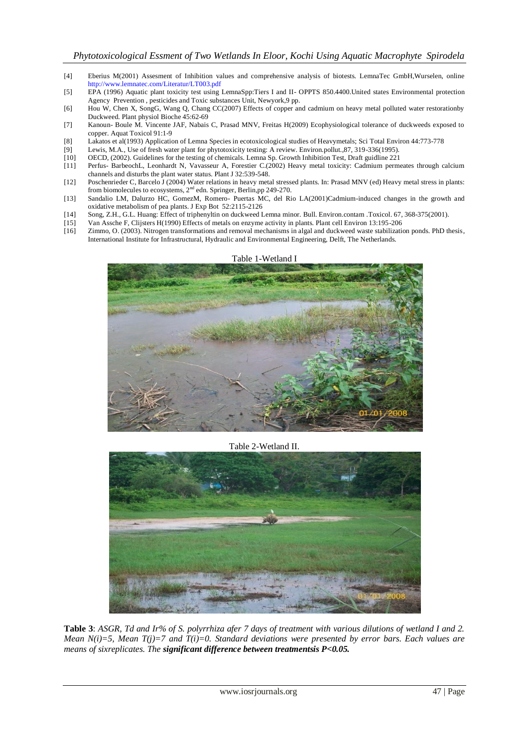- [4] Eberius M(2001) Assesment of Inhibition values and comprehensive analysis of biotests. LemnaTec GmbH,Wurselen, online <http://www.lemnatec.com/Literatur/LT003.pdf>
- [5] EPA (1996) Aquatic plant toxicity test using LemnaSpp:Tiers I and II- OPPTS 850.4400.United states Environmental protection Agency Prevention , pesticides and Toxic substances Unit, Newyork,9 pp.
- [6] Hou W, Chen X, SongG, Wang Q, Chang CC(2007) Effects of copper and cadmium on heavy metal polluted water restorationby Duckweed. Plant physiol Bioche 45:62-69
- [7] Kanoun- Boule M. Vincente JAF, Nabais C, Prasad MNV, Freitas H(2009) Ecophysiological tolerance of duckweeds exposed to copper. Aquat Toxicol 91:1-9
- [8] Lakatos et al(1993) Application of Lemna Species in ecotoxicological studies of Heavymetals; Sci Total Environ 44:773-778<br>[9] Lewis, M.A., Use of fresh water plant for phytotoxicity testing: A review. Environ pollut.,
- Lewis, M.A., Use of fresh water plant for phytotoxicity testing: A review. Environ.pollut.,87, 319-336(1995).
- [10] OECD, (2002). Guidelines for the testing of chemicals. Lemna Sp. Growth Inhibition Test, Draft guidline 221
- [11] Perfus- BarbeochL, Leonhardt N, Vavasseur A, Forestier C.(2002) Heavy metal toxicity: Cadmium permeates through calcium channels and disturbs the plant water status. Plant J 32:539-548.
- [12] Poschenrieder C, Barcelo J (2004) Water relations in heavy metal stressed plants. In: Prasad MNV (ed) Heavy metal stress in plants: from biomolecules to ecosystems, 2<sup>nd</sup> edn. Springer, Berlin,pp 249-270.
- [13] Sandalio LM, Dalurzo HC, GomezM, Romero- Puertas MC, del Rio LA(2001)Cadmium-induced changes in the growth and oxidative metabolism of pea plants. J Exp Bot 52:2115-2126
- [14] Song, Z.H., G.L. Huang: Effect of triphenyltin on duckweed Lemna minor. Bull. Environ.contam .Toxicol. 67, 368-375(2001).
- 
- [15] Van Assche F, Clijsters H(1990) Effects of metals on enzyme activity in plants. Plant cell Environ 13:195-206 [16] Zimmo, O. (2003). Nitrogen transformations and removal mechanisms in algal and duckweed waste stabilization ponds. PhD thesis, International Institute for Infrastructural, Hydraulic and Environmental Engineering, Delft, The Netherlands.



Table 2-Wetland II.



**Table 3**: *ASGR, Td and Ir% of S. polyrrhiza afer 7 days of treatment with various dilutions of wetland I and 2. Mean N(i)=5, Mean T(j)=7 and T(i)=0. Standard deviations were presented by error bars. Each values are means of sixreplicates. The significant difference between treatmentsis P<0.05.*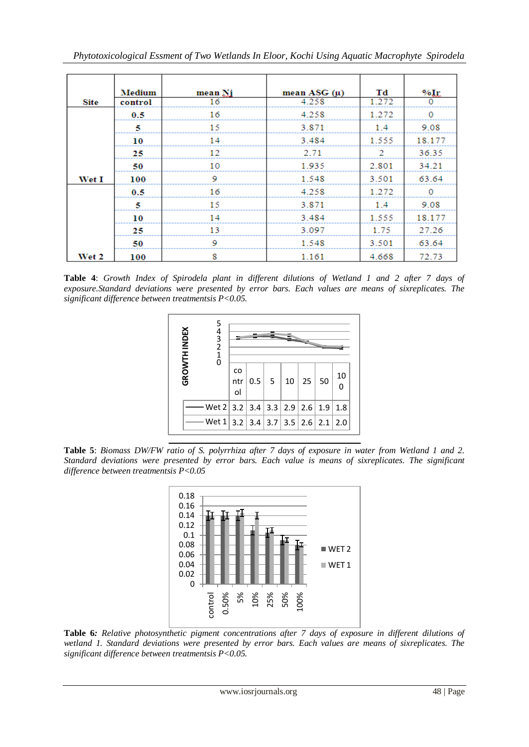| Site  | <b>Medium</b><br>control | mean Ni<br>16 | mean ASG $(\mu)$<br>4.258 | Td<br>1.272 | $%I_{r}$<br>0 |
|-------|--------------------------|---------------|---------------------------|-------------|---------------|
|       | 0.5                      | 16            | 4.258                     | 1.272       | 0             |
|       | 5                        | 15            | 3.871                     | 1.4         | 9.08          |
|       | 10                       | 14            | 3.484                     | 1.555       | 18.177        |
|       | 25                       | 12            | 2.71                      | 2           | 36.35         |
|       | 50                       | 10            | 1.935                     | 2.801       | 34.21         |
| Wet I | 100                      | 9             | 1.548                     | 3.501       | 63.64         |
|       | 0.5                      | 16            | 4.258                     | 1.272       | 0             |
|       | 5                        | 15            | 3.871                     | 1.4         | 9.08          |
|       | 10                       | 14            | 3.484                     | 1.555       | 18.177        |
|       | 25                       | 13            | 3.097                     | 1.75        | 27.26         |
|       | 50                       | 9             | 1.548                     | 3.501       | 63.64         |
| Wet 2 | 100                      | 8             | 1.161                     | 4.668       | 72.73         |

**Table 4**: *Growth Index of Spirodela plant in different dilutions of Wetland 1 and 2 after 7 days of exposure.Standard deviations were presented by error bars. Each values are means of sixreplicates. The significant difference between treatmentsis P<0.05.*



**Table 5**: *Biomass DW/FW ratio of S. polyrrhiza after 7 days of exposure in water from Wetland 1 and 2. Standard deviations were presented by error bars. Each value is means of sixreplicates. The significant difference between treatmentsis P<0.05*



**Table 6***: Relative photosynthetic pigment concentrations after 7 days of exposure in different dilutions of wetland 1. Standard deviations were presented by error bars. Each values are means of sixreplicates. The significant difference between treatmentsis P<0.05.*